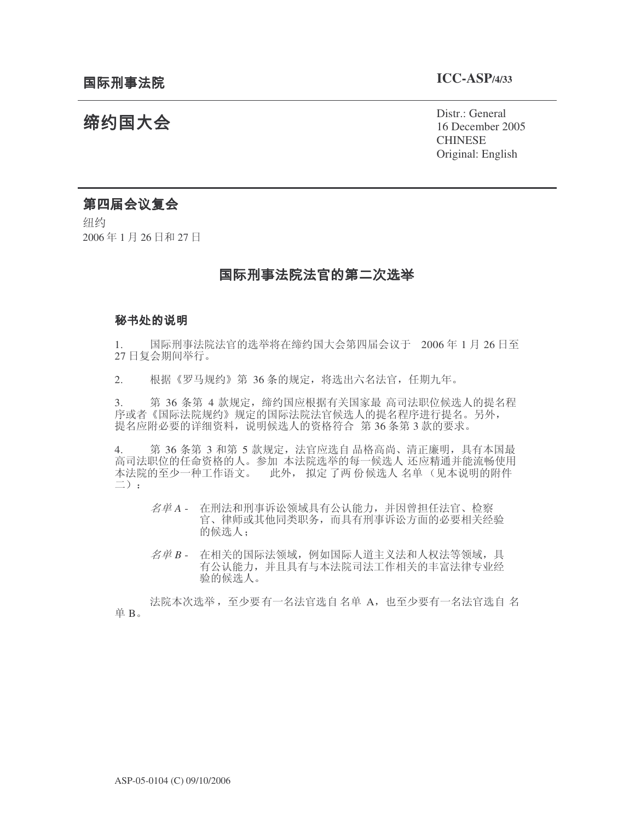# 缔约国大会

Distr.: General 16 December 2005 **CHINESE** Original: English

## 第四届会议复会

纽约 2006年1月26日和27日

## 国际刑事法院法官的第二次选举

## 秘书处的说明

1. 国际刑事法院法官的选举将在缔约国大会第四届会议于 2006年1月26日至 27 日复会期间举行。

2. 根据《罗马规约》第 36 条的规定, 将选出六名法官, 任期九年。

3. 為 36 条第 4 款规定,缔约国应根据有关国家最 高司法职位候选人的提名程 序或者《国际法院视约》规定的国际法院法官候选人的提名程序进行提名。另外, 提名应附必要的详细资料, 说明候选人的资格符合 第36条第3款的要求。

4. 第 36 条第 3 和第 5 款规定, 法官应选自 品格高尚、清正廉明, 具有本国最 高司法职位的任命资格的人。参加 本法院选举的每一候选人 还应精通并能流畅使用 本法院的至少一种工作语文。 此外, 拟定了两份候选人 名单(见本说明的附件  $\equiv$ ):

- 名单A 在刑法和刑事诉讼领域具有公认能力, 并因曾担任法官、检察 官、律师或其他同类职务,而具有刑事诉讼方面的必要相关经验 的候选人:
- 名单 B 在相关的国际法领域, 例如国际人道主义法和人权法等领域, 具 有公认能力, 并且具有与本法院司法工作相关的丰富法律专业经 验的候选人。

法院本次选举, 至少要有一名法官选自 名单 A, 也至少要有一名法官选自 名 单 B。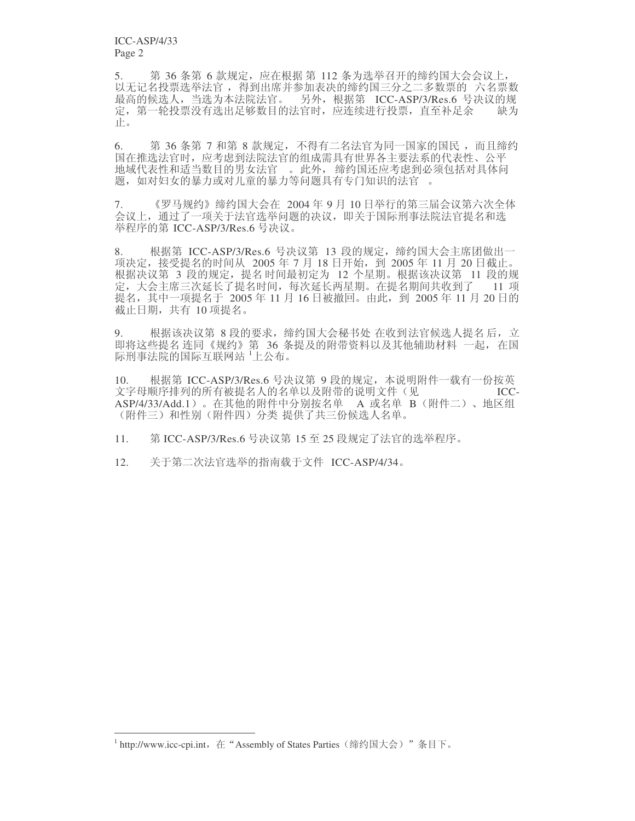ICC-ASP/4/33 Page 2

5. 第36条第6款规定, 应在根据第112条为选举召开的缔约国大会会议上, 9.无记名投票选举法官, 得到出席并参加表决的缔约国三分之二多数票的 六名票数 最高的候选人, 当选为本法院法官。 另外, 根据第 ICC-ASP/3/Res.6 号决议的规 定, 第一轮投票没有选出足够数目的法官时, 应连续进行投票, 直至补足余 缺为 止。

6. 第 36 条第 7 和第 8 款规定,不得有二名法官为同一国家的国民 ,而且缔约 国在推选法官时, 应考虑到法院法官的组成需具有世界各主要法系的代表性、公平 地域代表性和适当数目的男女法官。此外, 缔约国还应考虑到必须包括对具体问 题, 如对妇女的暴力或对儿童的暴力等问题具有专门知识的法官。

7. 《罗马规约》缔约国大会在 2004年9月 10 日举行的第三届会议第六次全体 会议上, 通过了一项关于法官选举问题的决议, 即关于国际刑事法院法官提名和选 举程序的第 ICC-ASP/3/Res.6 号决议。

8. 根据第 ICC-ASP/3/Res.6 号决议第 13 段的规定, 缔约国大会主席团做出一 项决定, 接受提名的时间从 2005 年 7 月 18 日开始, 到 2005 年 11 月 20 日截止。 根据决议第 3 段的规定, 提名时间最初定为 12 个星期。根据该决议第 11 段的规 定, 大会主席三次延长了提名时间, 每次延长两星期。在提名期间共收到了 11 项 提名, 其中一项提名于 2005 年 11 月 16 日被撤回。由此, 到 2005 年 11 月 20 日的 截止日期, 共有 10 项提名。

9. ለ根据该决议第 8 段的要求,缔约国大会秘书处 在收到法官候选人提名 后,立 即将这些提名连同《规约》第 36 条提及的附带资料以及其他辅助材料 一起, 在国 际刑事法院的国际互联网站 1上公布。

10. 根据第 ICC-ASP/3/Res.6 号决议第 9 段的规定, 本说明附件一载有一份按英<br>文字母顺序排列的所有被提名人的名单以及附带的说明文件(见 \_\_\_\_\_\_\_\_\_\_\_\_\_\_\_\_\_\_\_\_\_ 文字母顺序排列的所有被提名人的名单以及附带的说明文件(见 ASP/4/33/Add.1) 。在其他的附件中分别按名单 A 或名单 B(附件二)、地区组 (附件三)和性别(附件四)分类提供了共三份候选人名单。

11. 第 ICC-ASP/3/Res.6 号决议第 15 至 25 段规定了法官的选举程序。

12. 关于第二次法官选举的指南载于文件 ICC-ASP/4/34。

 $^1$  http://www.icc-cpi.int, 在 "Assembly of States Parties(缔约国大会)"条目下。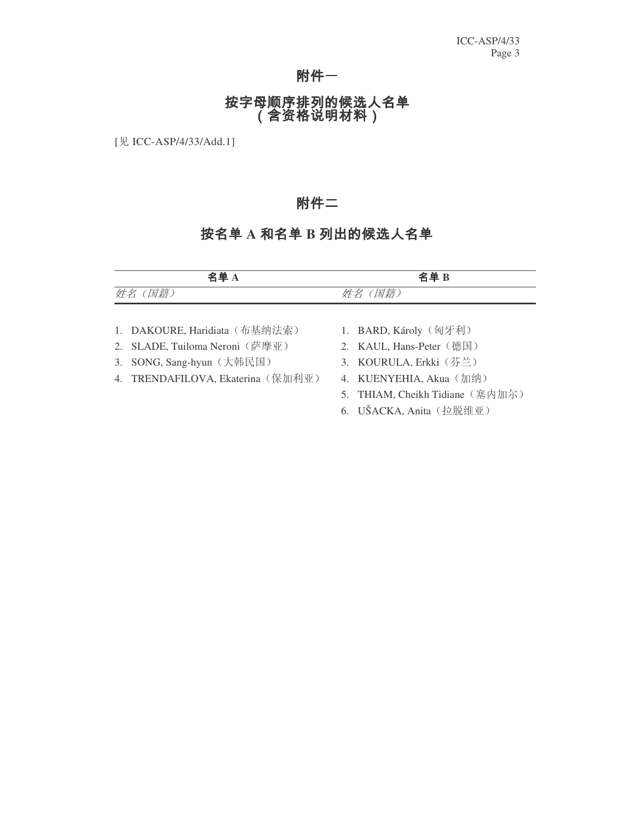# 附件一

# 按字母顺序排列的候选人名单<br>(含资格说明材料)

[见 ICC-ASP/4/33/Add.1]

# 附件二

# 按名单 A 和名单 B 列出的候选人名单

|         | 名单A                               | 名单B                             |
|---------|-----------------------------------|---------------------------------|
| 姓名 (国籍) |                                   | 姓名 (国籍)                         |
|         |                                   |                                 |
|         | 1. DAKOURE, Haridiata (布基纳法索)     | 1. BARD, Károly (匈牙利)           |
|         | 2. SLADE, Tuiloma Neroni (萨摩亚)    | 2. KAUL, Hans-Peter (德国)        |
|         | 3. SONG, Sang-hyun (大韩民国)         | 3. KOURULA, Erkki (芬兰)          |
|         | 4. TRENDAFILOVA, Ekaterina (保加利亚) | 4. KUENYEHIA, Akua (加纳)         |
|         |                                   | 5. THIAM, Cheikh Tidiane (塞内加尔) |
|         |                                   | 6. UŠACKA, Anita (拉脱维亚)         |
|         |                                   |                                 |